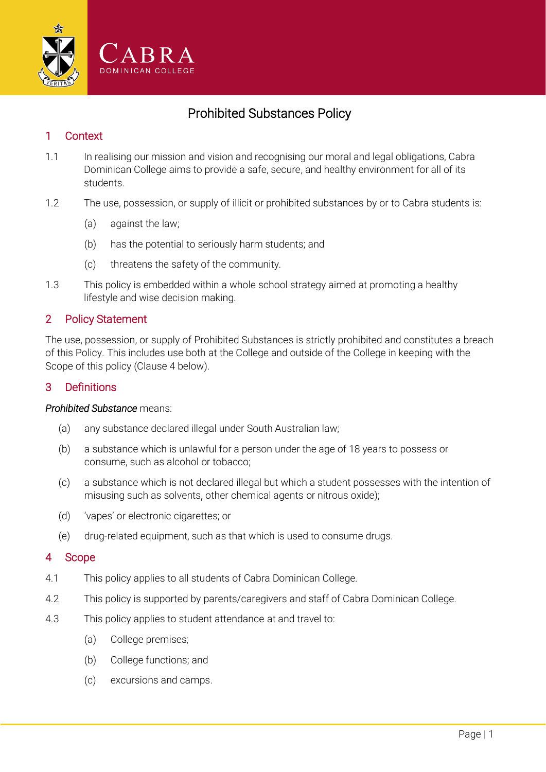

# Prohibited Substances Policy

## 1 Context

- 1.1 In realising our mission and vision and recognising our moral and legal obligations, Cabra Dominican College aims to provide a safe, secure, and healthy environment for all of its students.
- 1.2 The use, possession, or supply of illicit or prohibited substances by or to Cabra students is:
	- (a) against the law;
	- (b) has the potential to seriously harm students; and
	- (c) threatens the safety of the community.
- 1.3 This policy is embedded within a whole school strategy aimed at promoting a healthy lifestyle and wise decision making.

### 2 Policy Statement

The use, possession, or supply of Prohibited Substances is strictly prohibited and constitutes a breach of this Policy. This includes use both at the College and outside of the College in keeping with the Scope of this policy (Clause [4 below\)](#page-0-0).

## 3 Definitions

#### *Prohibited Substance* means:

- (a) any substance declared illegal under South Australian law;
- (b) a substance which is unlawful for a person under the age of 18 years to possess or consume, such as alcohol or tobacco;
- (c) a substance which is not declared illegal but which a student possesses with the intention of misusing such as solvents, other chemical agents or nitrous oxide);
- (d) 'vapes' or electronic cigarettes; or
- (e) drug-related equipment, such as that which is used to consume drugs.

### <span id="page-0-0"></span>4 Scope

- 4.1 This policy applies to all students of Cabra Dominican College.
- 4.2 This policy is supported by parents/caregivers and staff of Cabra Dominican College.
- 4.3 This policy applies to student attendance at and travel to:
	- (a) College premises;
	- (b) College functions; and
	- (c) excursions and camps.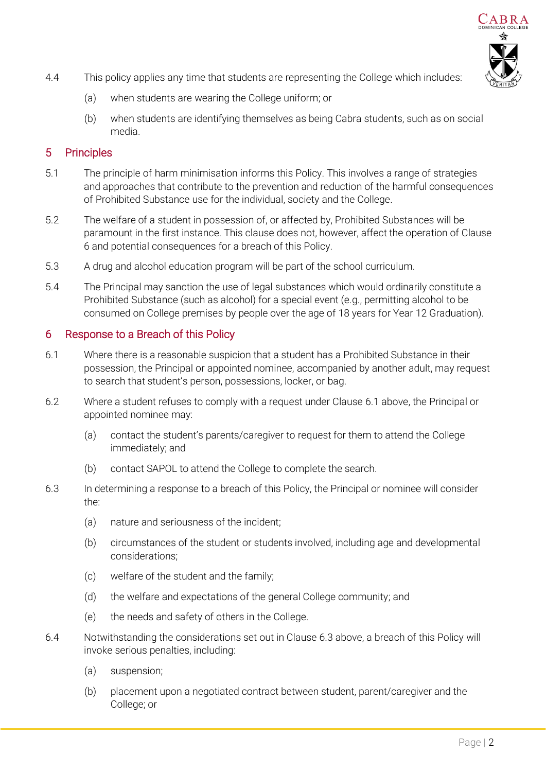

- 4.4 This policy applies any time that students are representing the College which includes:
	- (a) when students are wearing the College uniform; or
	- (b) when students are identifying themselves as being Cabra students, such as on social media.

## 5 Principles

- 5.1 The principle of harm minimisation informs this Policy. This involves a range of strategies and approaches that contribute to the prevention and reduction of the harmful consequences of Prohibited Substance use for the individual, society and the College.
- 5.2 The welfare of a student in possession of, or affected by, Prohibited Substances will be paramount in the first instance. This clause does not, however, affect the operation of Clause 6 and potential consequences for a breach of this Policy.
- 5.3 A drug and alcohol education program will be part of the school curriculum.
- 5.4 The Principal may sanction the use of legal substances which would ordinarily constitute a Prohibited Substance (such as alcohol) for a special event (e.g., permitting alcohol to be consumed on College premises by people over the age of 18 years for Year 12 Graduation).

## 6 Response to a Breach of this Policy

- <span id="page-1-0"></span>6.1 Where there is a reasonable suspicion that a student has a Prohibited Substance in their possession, the Principal or appointed nominee, accompanied by another adult, may request to search that student's person, possessions, locker, or bag.
- 6.2 Where a student refuses to comply with a request under Clause [6.1 above,](#page-1-0) the Principal or appointed nominee may:
	- (a) contact the student's parents/caregiver to request for them to attend the College immediately; and
	- (b) contact SAPOL to attend the College to complete the search.
- <span id="page-1-1"></span>6.3 In determining a response to a breach of this Policy, the Principal or nominee will consider the:
	- (a) nature and seriousness of the incident;
	- (b) circumstances of the student or students involved, including age and developmental considerations;
	- (c) welfare of the student and the family;
	- (d) the welfare and expectations of the general College community; and
	- (e) the needs and safety of others in the College.
- 6.4 Notwithstanding the considerations set out in Clause [6.3 above,](#page-1-1) a breach of this Policy will invoke serious penalties, including:
	- (a) suspension;
	- (b) placement upon a negotiated contract between student, parent/caregiver and the College; or